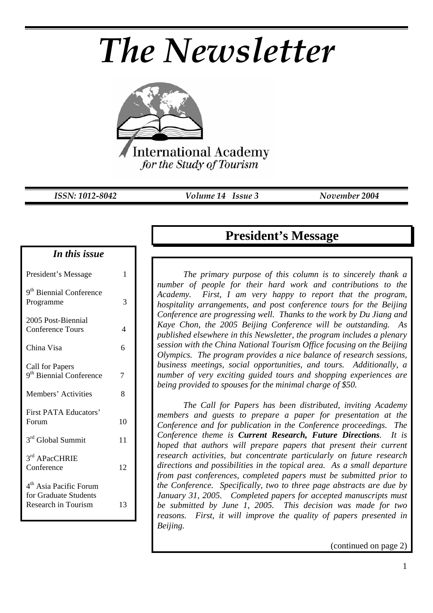# *The Newsletter*



*ISSN: 1012-8042 Volume 14 Issue 3 November 2004* 

#### *In this issue*

| President's Message                                                                | 1  |
|------------------------------------------------------------------------------------|----|
| 9 <sup>th</sup> Biennial Conference<br>Programme                                   | 3  |
| 2005 Post-Biennial<br><b>Conference Tours</b>                                      | 4  |
| China Visa                                                                         | 6  |
| <b>Call for Papers</b><br>9 <sup>th</sup> Biennial Conference                      | 7  |
| Members' Activities                                                                | 8  |
| <b>First PATA Educators'</b><br>Forum                                              | 10 |
| 3rd Global Summit                                                                  | 11 |
| 3rd APacCHRIE<br>Conference                                                        | 12 |
| 4 <sup>th</sup> Asia Pacific Forum<br>for Graduate Students<br>Research in Tourism | 13 |

## **President's Message**

*The primary purpose of this column is to sincerely thank a number of people for their hard work and contributions to the Academy. First, I am very happy to report that the program, hospitality arrangements, and post conference tours for the Beijing Conference are progressing well. Thanks to the work by Du Jiang and Kaye Chon, the 2005 Beijing Conference will be outstanding. As published elsewhere in this Newsletter, the program includes a plenary session with the China National Tourism Office focusing on the Beijing Olympics. The program provides a nice balance of research sessions, business meetings, social opportunities, and tours. Additionally, a number of very exciting guided tours and shopping experiences are being provided to spouses for the minimal charge of \$50.* 

*The Call for Papers has been distributed, inviting Academy members and guests to prepare a paper for presentation at the Conference and for publication in the Conference proceedings. The Conference theme is Current Research, Future Directions. It is hoped that authors will prepare papers that present their current research activities, but concentrate particularly on future research directions and possibilities in the topical area. As a small departure from past conferences, completed papers must be submitted prior to the Conference. Specifically, two to three page abstracts are due by January 31, 2005. Completed papers for accepted manuscripts must be submitted by June 1, 2005. This decision was made for two reasons. First, it will improve the quality of papers presented in Beijing.* 

(continued on page 2)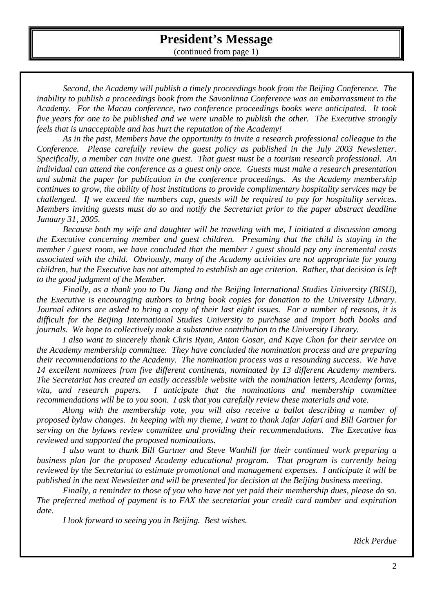## **President's Message**

(continued from page 1)

*Second, the Academy will publish a timely proceedings book from the Beijing Conference. The inability to publish a proceedings book from the Savonlinna Conference was an embarrassment to the Academy. For the Macau conference, two conference proceedings books were anticipated. It took five years for one to be published and we were unable to publish the other. The Executive strongly feels that is unacceptable and has hurt the reputation of the Academy!* 

*As in the past, Members have the opportunity to invite a research professional colleague to the Conference. Please carefully review the guest policy as published in the July 2003 Newsletter. Specifically, a member can invite one guest. That guest must be a tourism research professional. An individual can attend the conference as a guest only once. Guests must make a research presentation and submit the paper for publication in the conference proceedings. As the Academy membership continues to grow, the ability of host institutions to provide complimentary hospitality services may be challenged. If we exceed the numbers cap, guests will be required to pay for hospitality services. Members inviting guests must do so and notify the Secretariat prior to the paper abstract deadline January 31, 2005.* 

*Because both my wife and daughter will be traveling with me, I initiated a discussion among the Executive concerning member and guest children. Presuming that the child is staying in the member / guest room, we have concluded that the member / guest should pay any incremental costs associated with the child. Obviously, many of the Academy activities are not appropriate for young children, but the Executive has not attempted to establish an age criterion. Rather, that decision is left to the good judgment of the Member.* 

*Finally, as a thank you to Du Jiang and the Beijing International Studies University (BISU), the Executive is encouraging authors to bring book copies for donation to the University Library. Journal editors are asked to bring a copy of their last eight issues. For a number of reasons, it is difficult for the Beijing International Studies University to purchase and import both books and journals. We hope to collectively make a substantive contribution to the University Library.* 

*I also want to sincerely thank Chris Ryan, Anton Gosar, and Kaye Chon for their service on the Academy membership committee. They have concluded the nomination process and are preparing their recommendations to the Academy. The nomination process was a resounding success. We have 14 excellent nominees from five different continents, nominated by 13 different Academy members. The Secretariat has created an easily accessible website with the nomination letters, Academy forms, vita, and research papers. I anticipate that the nominations and membership committee recommendations will be to you soon. I ask that you carefully review these materials and vote.* 

*Along with the membership vote, you will also receive a ballot describing a number of proposed bylaw changes. In keeping with my theme, I want to thank Jafar Jafari and Bill Gartner for serving on the bylaws review committee and providing their recommendations. The Executive has reviewed and supported the proposed nominations.* 

*I also want to thank Bill Gartner and Steve Wanhill for their continued work preparing a business plan for the proposed Academy educational program. That program is currently being reviewed by the Secretariat to estimate promotional and management expenses. I anticipate it will be published in the next Newsletter and will be presented for decision at the Beijing business meeting.* 

*Finally, a reminder to those of you who have not yet paid their membership dues, please do so. The preferred method of payment is to FAX the secretariat your credit card number and expiration date.* 

*I look forward to seeing you in Beijing. Best wishes.* 

*Rick Perdue*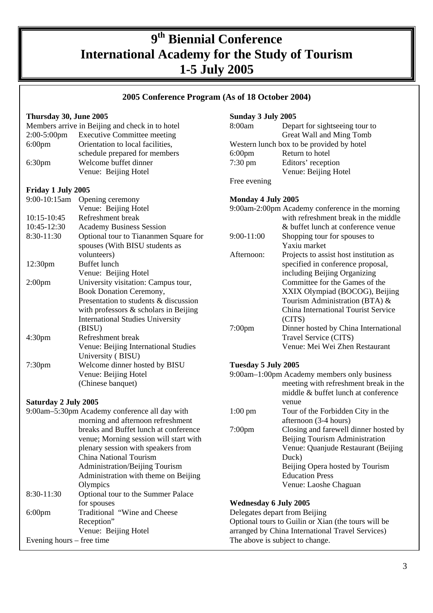## **9th Biennial Conference International Academy for the Study of Tourism 1-5 July 2005**

#### **2005 Conference Program (As of 18 October 2004)**

|                                                              | Thursday 30, June 2005 |                                                 | Sunday 3 July 2005           |                                                     |
|--------------------------------------------------------------|------------------------|-------------------------------------------------|------------------------------|-----------------------------------------------------|
|                                                              |                        | Members arrive in Beijing and check in to hotel | 8:00am                       | Depart for sightseeing tour to                      |
|                                                              | $2:00-5:00$ pm         | <b>Executive Committee meeting</b>              |                              | Great Wall and Ming Tomb                            |
|                                                              | $6:00$ pm              | Orientation to local facilities,                |                              | Western lunch box to be provided by hotel           |
|                                                              |                        | schedule prepared for members                   | $6:00$ pm                    | Return to hotel                                     |
|                                                              | 6:30 <sub>pm</sub>     | Welcome buffet dinner                           | $7:30 \text{ pm}$            | Editors' reception                                  |
|                                                              |                        | Venue: Beijing Hotel                            |                              | Venue: Beijing Hotel                                |
|                                                              |                        |                                                 | Free evening                 |                                                     |
|                                                              | Friday 1 July 2005     |                                                 |                              |                                                     |
|                                                              | 9:00-10:15am           | Opening ceremony                                | Monday 4 July 2005           |                                                     |
|                                                              |                        | Venue: Beijing Hotel                            |                              | 9:00am-2:00pm Academy conference in the morning     |
|                                                              | 10:15-10:45            | Refreshment break                               |                              | with refreshment break in the middle                |
|                                                              | 10:45-12:30            | <b>Academy Business Session</b>                 |                              | & buffet lunch at conference venue                  |
|                                                              | 8:30-11:30             | Optional tour to Tiananmen Square for           | 9:00-11:00                   | Shopping tour for spouses to                        |
|                                                              |                        | spouses (With BISU students as                  |                              | Yaxiu market                                        |
|                                                              |                        | volunteers)                                     | Afternoon:                   | Projects to assist host institution as              |
|                                                              | 12:30pm                | <b>Buffet</b> lunch                             |                              | specified in conference proposal,                   |
|                                                              |                        | Venue: Beijing Hotel                            |                              | including Beijing Organizing                        |
|                                                              | 2:00 <sub>pm</sub>     | University visitation: Campus tour,             |                              | Committee for the Games of the                      |
|                                                              |                        | <b>Book Donation Ceremony,</b>                  |                              | XXIX Olympiad (BOCOG), Beijing                      |
|                                                              |                        | Presentation to students & discussion           |                              | Tourism Administration (BTA) &                      |
|                                                              |                        | with professors $&$ scholars in Beijing         |                              | China International Tourist Service                 |
|                                                              |                        | <b>International Studies University</b>         |                              | (CITS)                                              |
|                                                              |                        | (BISU)                                          | $7:00$ pm                    | Dinner hosted by China International                |
|                                                              | 4:30 <sub>pm</sub>     | Refreshment break                               |                              | Travel Service (CITS)                               |
|                                                              |                        | Venue: Beijing International Studies            |                              | Venue: Mei Wei Zhen Restaurant                      |
|                                                              |                        | University (BISU)                               |                              |                                                     |
|                                                              | 7:30pm                 | Welcome dinner hosted by BISU                   | Tuesday 5 July 2005          |                                                     |
|                                                              |                        | Venue: Beijing Hotel                            |                              | 9:00am-1:00pm Academy members only business         |
|                                                              |                        | (Chinese banquet)                               |                              | meeting with refreshment break in the               |
|                                                              |                        |                                                 |                              | middle & buffet lunch at conference                 |
| Saturday 2 July 2005                                         |                        |                                                 | venue                        |                                                     |
|                                                              |                        | 9:00am-5:30pm Academy conference all day with   | $1:00 \text{ pm}$            | Tour of the Forbidden City in the                   |
|                                                              |                        | morning and afternoon refreshment               |                              | afternoon (3-4 hours)                               |
|                                                              |                        | breaks and Buffet lunch at conference           | $7:00$ pm                    | Closing and farewell dinner hosted by               |
|                                                              |                        | venue; Morning session will start with          |                              | Beijing Tourism Administration                      |
|                                                              |                        | plenary session with speakers from              |                              | Venue: Quanjude Restaurant (Beijing                 |
|                                                              |                        | China National Tourism                          |                              | Duck)                                               |
|                                                              |                        | Administration/Beijing Tourism                  |                              | Beijing Opera hosted by Tourism                     |
|                                                              |                        | Administration with theme on Beijing            |                              | <b>Education Press</b>                              |
|                                                              |                        | Olympics                                        |                              | Venue: Laoshe Chaguan                               |
|                                                              | 8:30-11:30             | Optional tour to the Summer Palace              |                              |                                                     |
|                                                              |                        | for spouses                                     | <b>Wednesday 6 July 2005</b> |                                                     |
|                                                              | $6:00$ pm              | Traditional "Wine and Cheese                    |                              | Delegates depart from Beijing                       |
|                                                              |                        | Reception"                                      |                              | Optional tours to Guilin or Xian (the tours will be |
|                                                              |                        | Venue: Beijing Hotel                            |                              | arranged by China International Travel Services)    |
| Evening hours – free time<br>The above is subject to change. |                        |                                                 |                              |                                                     |
|                                                              |                        |                                                 |                              |                                                     |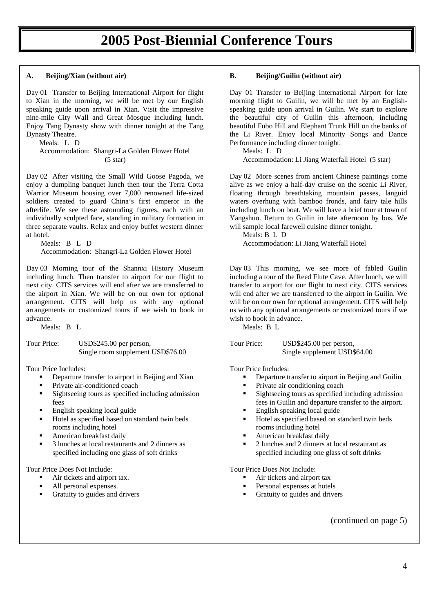## **2005 Post-Biennial Conference Tours**

#### **A. Beijing/Xian (without air)**

Day 01 Transfer to Beijing International Airport for flight to Xian in the morning, we will be met by our English speaking guide upon arrival in Xian. Visit the impressive nine-mile City Wall and Great Mosque including lunch. Enjoy Tang Dynasty show with dinner tonight at the Tang Dynasty Theatre.

Meals: L D

Accommodation: Shangri-La Golden Flower Hotel  $(5 \text{ star})$ 

Day 02 After visiting the Small Wild Goose Pagoda, we enjoy a dumpling banquet lunch then tour the Terra Cotta Warrior Museum housing over 7,000 renowned life-sized soldiers created to guard China's first emperor in the afterlife. We see these astounding figures, each with an individually sculpted face, standing in military formation in three separate vaults. Relax and enjoy buffet western dinner at hotel.

Meals: B L D

Accommodation: Shangri-La Golden Flower Hotel

Day 03 Morning tour of the Shannxi History Museum including lunch. Then transfer to airport for our flight to next city. CITS services will end after we are transferred to the airport in Xian. We will be on our own for optional arrangement. CITS will help us with any optional arrangements or customized tours if we wish to book in advance.

Meals: B L

Tour Price: USD\$245.00 per person, Single room supplement USD\$76.00

Tour Price Includes:

- **•** Departure transfer to airport in Beijing and Xian
- **•** Private air-conditioned coach
- **Sightseeing tours as specified including admission** fees
- English speaking local guide
- Hotel as specified based on standard twin beds rooms including hotel
- American breakfast daily
- 3 lunches at local restaurants and 2 dinners as specified including one glass of soft drinks

Tour Price Does Not Include:

- Air tickets and airport tax.
- All personal expenses.
- Gratuity to guides and drivers

#### **B. Beijing/Guilin (without air)**

Day 01 Transfer to Beijing International Airport for late morning flight to Guilin, we will be met by an Englishspeaking guide upon arrival in Guilin. We start to explore the beautiful city of Guilin this afternoon, including beautiful Fubo Hill and Elephant Trunk Hill on the banks of the Li River. Enjoy local Minority Songs and Dance Performance including dinner tonight.

Meals: L D Accommodation: Li Jiang Waterfall Hotel (5 star)

Day 02 More scenes from ancient Chinese paintings come alive as we enjoy a half-day cruise on the scenic Li River, floating through breathtaking mountain passes, languid waters overhung with bamboo fronds, and fairy tale hills including lunch on boat. We will have a brief tour at town of Yangshuo. Return to Guilin in late afternoon by bus. We will sample local farewell cuisine dinner tonight.

Meals: B L D Accommodation: Li Jiang Waterfall Hotel

Day 03 This morning, we see more of fabled Guilin including a tour of the Reed Flute Cave. After lunch, we will transfer to airport for our flight to next city. CITS services will end after we are transferred to the airport in Guilin. We will be on our own for optional arrangement. CITS will help us with any optional arrangements or customized tours if we wish to book in advance.

Meals: B L

Tour Price: USD\$245.00 per person, Single supplement USD\$64.00

Tour Price Includes:

- **•** Departure transfer to airport in Beijing and Guilin
- Private air conditioning coach
- Sightseeing tours as specified including admission fees in Guilin and departure transfer to the airport.
- English speaking local guide
- Hotel as specified based on standard twin beds rooms including hotel
- American breakfast daily
- 2 lunches and 2 dinners at local restaurant as specified including one glass of soft drinks

Tour Price Does Not Include:

- Air tickets and airport tax
- Personal expenses at hotels
- Gratuity to guides and drivers

(continued on page 5)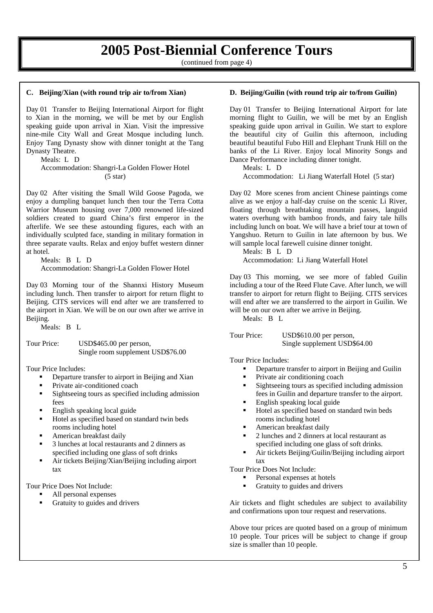## **2005 Post-Biennial Conference Tours**

(continued from page 4)

#### **C. Beijing/Xian (with round trip air to/from Xian)**

Day 01 Transfer to Beijing International Airport for flight to Xian in the morning, we will be met by our English speaking guide upon arrival in Xian. Visit the impressive nine-mile City Wall and Great Mosque including lunch. Enjoy Tang Dynasty show with dinner tonight at the Tang Dynasty Theatre.

Meals: L D

 Accommodation: Shangri-La Golden Flower Hotel  $(5 \text{ star})$ 

Day 02 After visiting the Small Wild Goose Pagoda, we enjoy a dumpling banquet lunch then tour the Terra Cotta Warrior Museum housing over 7,000 renowned life-sized soldiers created to guard China's first emperor in the afterlife. We see these astounding figures, each with an individually sculpted face, standing in military formation in three separate vaults. Relax and enjoy buffet western dinner at hotel.

 Meals: B L D Accommodation: Shangri-La Golden Flower Hotel

Day 03 Morning tour of the Shannxi History Museum including lunch. Then transfer to airport for return flight to Beijing. CITS services will end after we are transferred to the airport in Xian. We will be on our own after we arrive in Beijing.

Meals: B L

Tour Price: USD\$465.00 per person, Single room supplement USD\$76.00

Tour Price Includes:

- **•** Departure transfer to airport in Beijing and Xian
- Private air-conditioned coach
- **Sightseeing tours as specified including admission** fees
- English speaking local guide
- Hotel as specified based on standard twin beds rooms including hotel
- American breakfast daily
- 3 lunches at local restaurants and 2 dinners as specified including one glass of soft drinks
- Air tickets Beijing/Xian/Beijing including airport tax

Tour Price Does Not Include:

- All personal expenses
- Gratuity to guides and drivers

#### **D. Beijing/Guilin (with round trip air to/from Guilin)**

Day 01 Transfer to Beijing International Airport for late morning flight to Guilin, we will be met by an English speaking guide upon arrival in Guilin. We start to explore the beautiful city of Guilin this afternoon, including beautiful beautiful Fubo Hill and Elephant Trunk Hill on the banks of the Li River. Enjoy local Minority Songs and Dance Performance including dinner tonight.

Meals: L D Accommodation: Li Jiang Waterfall Hotel (5 star)

Day 02 More scenes from ancient Chinese paintings come alive as we enjoy a half-day cruise on the scenic Li River, floating through breathtaking mountain passes, languid waters overhung with bamboo fronds, and fairy tale hills including lunch on boat. We will have a brief tour at town of Yangshuo. Return to Guilin in late afternoon by bus. We will sample local farewell cuisine dinner tonight.

Meals: B L D Accommodation: Li Jiang Waterfall Hotel

Day 03 This morning, we see more of fabled Guilin including a tour of the Reed Flute Cave. After lunch, we will transfer to airport for return flight to Beijing. CITS services will end after we are transferred to the airport in Guilin. We will be on our own after we arrive in Beijing.

Meals: B L

Tour Price: USD\$610.00 per person, Single supplement USD\$64.00

Tour Price Includes:

- Departure transfer to airport in Beijing and Guilin
- Private air conditioning coach
- **Sightseeing tours as specified including admission** fees in Guilin and departure transfer to the airport.
- English speaking local guide
- Hotel as specified based on standard twin beds rooms including hotel
- American breakfast daily
- 2 lunches and 2 dinners at local restaurant as specified including one glass of soft drinks.
- Air tickets Beijing/Guilin/Beijing including airport tax

Tour Price Does Not Include:

- **Personal expenses at hotels**
- Gratuity to guides and drivers

Air tickets and flight schedules are subject to availability and confirmations upon tour request and reservations.

Above tour prices are quoted based on a group of minimum 10 people. Tour prices will be subject to change if group size is smaller than 10 people.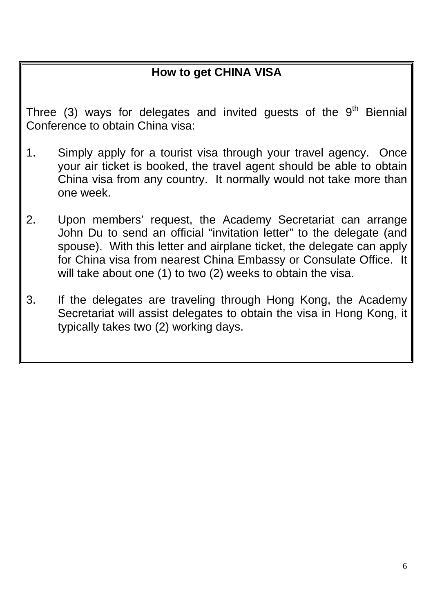## **How to get CHINA VISA**

Three (3) ways for delegates and invited guests of the  $9<sup>th</sup>$  Biennial Conference to obtain China visa:

- 1. Simply apply for a tourist visa through your travel agency. Once your air ticket is booked, the travel agent should be able to obtain China visa from any country. It normally would not take more than one week.
- 2. Upon members' request, the Academy Secretariat can arrange John Du to send an official "invitation letter" to the delegate (and spouse). With this letter and airplane ticket, the delegate can apply for China visa from nearest China Embassy or Consulate Office. It will take about one (1) to two (2) weeks to obtain the visa.
- 3. If the delegates are traveling through Hong Kong, the Academy Secretariat will assist delegates to obtain the visa in Hong Kong, it typically takes two (2) working days.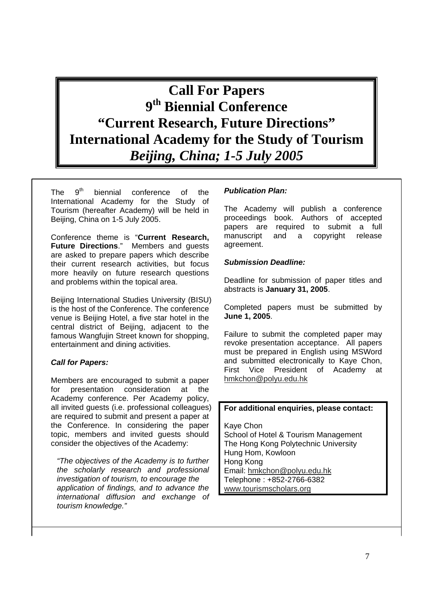**Call For Papers 9th Biennial Conference "Current Research, Future Directions" International Academy for the Study of Tourism**  *Beijing, China; 1-5 July 2005* 

The  $9<sup>th</sup>$  biennial conference of the International Academy for the Study of Tourism (hereafter Academy) will be held in Beijing, China on 1-5 July 2005.

Conference theme is "**Current Research, Future Directions**." Members and guests are asked to prepare papers which describe their current research activities, but focus more heavily on future research questions and problems within the topical area.

Beijing International Studies University (BISU) is the host of the Conference. The conference venue is Beijing Hotel, a five star hotel in the central district of Beijing, adjacent to the famous Wangfujin Street known for shopping, entertainment and dining activities.

#### *Call for Papers:*

Members are encouraged to submit a paper for presentation consideration at the Academy conference. Per Academy policy, all invited guests (i.e. professional colleagues) are required to submit and present a paper at the Conference. In considering the paper topic, members and invited guests should consider the objectives of the Academy:

*"The objectives of the Academy is to further the scholarly research and professional investigation of tourism, to encourage the application of findings, and to advance the international diffusion and exchange of tourism knowledge."* 

#### *Publication Plan:*

The Academy will publish a conference proceedings book. Authors of accepted papers are required to submit a full manuscript and a copyright release agreement.

#### *Submission Deadline:*

Deadline for submission of paper titles and abstracts is **January 31, 2005**.

Completed papers must be submitted by **June 1, 2005**.

Failure to submit the completed paper may revoke presentation acceptance. All papers must be prepared in English using MSWord and submitted electronically to Kaye Chon, First Vice President of Academy at hmkchon@polyu.edu.hk

#### **For additional enquiries, please contact:**

Kaye Chon School of Hotel & Tourism Management The Hong Kong Polytechnic University Hung Hom, Kowloon Hong Kong Email: hmkchon@polyu.edu.hk Telephone : +852-2766-6382 www.tourismscholars.org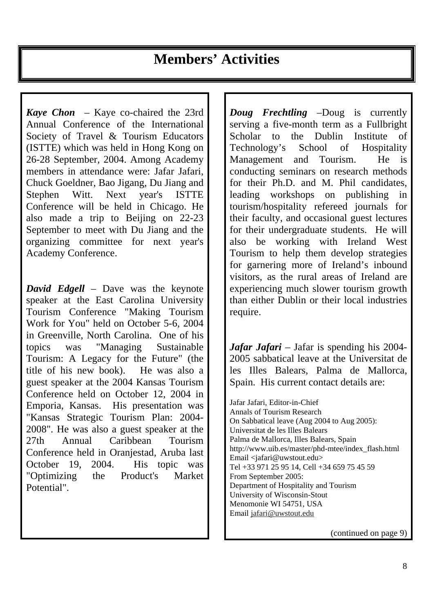*Kaye Chon* – Kaye co-chaired the 23rd Annual Conference of the International Society of Travel & Tourism Educators (ISTTE) which was held in Hong Kong on 26-28 September, 2004. Among Academy members in attendance were: Jafar Jafari, Chuck Goeldner, Bao Jigang, Du Jiang and Stephen Witt. Next year's ISTTE Conference will be held in Chicago. He also made a trip to Beijing on 22-23 September to meet with Du Jiang and the organizing committee for next year's Academy Conference.

*David Edgell* – Dave was the keynote speaker at the East Carolina University Tourism Conference "Making Tourism Work for You" held on October 5-6, 2004 in Greenville, North Carolina. One of his topics was "Managing Sustainable Tourism: A Legacy for the Future" (the title of his new book). He was also a guest speaker at the 2004 Kansas Tourism Conference held on October 12, 2004 in Emporia, Kansas. His presentation was "Kansas Strategic Tourism Plan: 2004- 2008". He was also a guest speaker at the 27th Annual Caribbean Tourism Conference held in Oranjestad, Aruba last October 19, 2004. His topic was "Optimizing the Product's Market Potential".

*Doug Frechtling* –Doug is currently serving a five-month term as a Fullbright Scholar to the Dublin Institute of Technology's School of Hospitality Management and Tourism. He is conducting seminars on research methods for their Ph.D. and M. Phil candidates, leading workshops on publishing in tourism/hospitality refereed journals for their faculty, and occasional guest lectures for their undergraduate students. He will also be working with Ireland West Tourism to help them develop strategies for garnering more of Ireland's inbound visitors, as the rural areas of Ireland are experiencing much slower tourism growth than either Dublin or their local industries require.

*Jafar Jafari* – Jafar is spending his 2004- 2005 sabbatical leave at the Universitat de les Illes Balears, Palma de Mallorca, Spain. His current contact details are:

Jafar Jafari, Editor-in-Chief Annals of Tourism Research On Sabbatical leave (Aug 2004 to Aug 2005): Universitat de les Illes Balears Palma de Mallorca, Illes Balears, Spain http://www.uib.es/master/phd-mtee/index\_flash.html Email <jafari@uwstout.edu> Tel +33 971 25 95 14, Cell +34 659 75 45 59 From September 2005: Department of Hospitality and Tourism University of Wisconsin-Stout Menomonie WI 54751, USA Email jafari@uwstout.edu

(continued on page 9)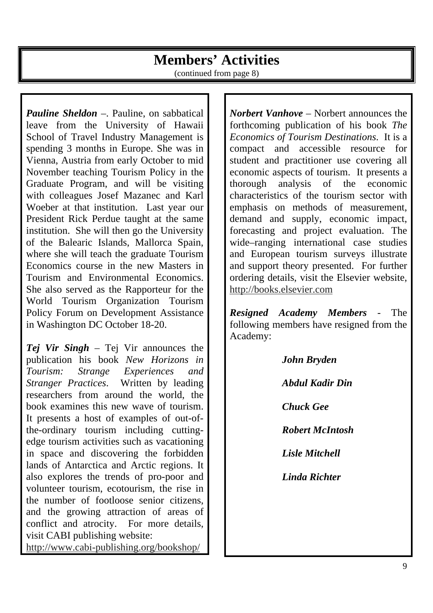## **Members' Activities**

(continued from page 8)

*Pauline Sheldon* –. Pauline, on sabbatical leave from the University of Hawaii School of Travel Industry Management is spending 3 months in Europe. She was in Vienna, Austria from early October to mid November teaching Tourism Policy in the Graduate Program, and will be visiting with colleagues Josef Mazanec and Karl Woeber at that institution. Last year our President Rick Perdue taught at the same institution. She will then go the University of the Balearic Islands, Mallorca Spain, where she will teach the graduate Tourism Economics course in the new Masters in Tourism and Environmental Economics. She also served as the Rapporteur for the World Tourism Organization Tourism Policy Forum on Development Assistance in Washington DC October 18-20.

*Tej Vir Singh* – Tej Vir announces the publication his book *New Horizons in Tourism: Strange Experiences and Stranger Practices*. Written by leading researchers from around the world, the book examines this new wave of tourism. It presents a host of examples of out-ofthe-ordinary tourism including cuttingedge tourism activities such as vacationing in space and discovering the forbidden lands of Antarctica and Arctic regions. It also explores the trends of pro-poor and volunteer tourism, ecotourism, the rise in the number of footloose senior citizens, and the growing attraction of areas of conflict and atrocity. For more details, visit CABI publishing website: http://www.cabi-publishing.org/bookshop/

*Norbert Vanhove* – Norbert announces the forthcoming publication of his book *The Economics of Tourism Destinations*. It is a compact and accessible resource for student and practitioner use covering all economic aspects of tourism. It presents a thorough analysis of the economic characteristics of the tourism sector with emphasis on methods of measurement, demand and supply, economic impact, forecasting and project evaluation. The wide–ranging international case studies and European tourism surveys illustrate and support theory presented. For further ordering details, visit the Elsevier website, http://books.elsevier.com

*Resigned Academy Members -* The following members have resigned from the Academy:

> *John Bryden Abdul Kadir Din Chuck Gee Robert McIntosh Lisle Mitchell Linda Richter*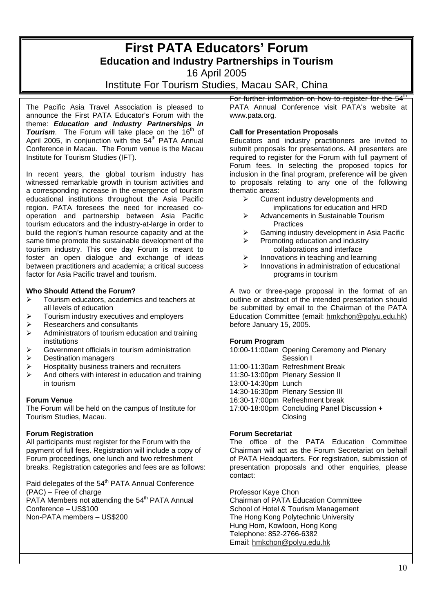## **First PATA Educators' Forum Education and Industry Partnerships in Tourism**

16 April 2005

### Institute For Tourism Studies, Macau SAR, China

The Pacific Asia Travel Association is pleased to announce the First PATA Educator's Forum with the theme: *Education and Industry Partnerships in*  **Tourism**. The Forum will take place on the 16<sup>th</sup> of April 2005, in conjunction with the  $54<sup>th</sup>$  PATA Annual Conference in Macau. The Forum venue is the Macau Institute for Tourism Studies (IFT).

In recent years, the global tourism industry has witnessed remarkable growth in tourism activities and a corresponding increase in the emergence of tourism educational institutions throughout the Asia Pacific region. PATA foresees the need for increased cooperation and partnership between Asia Pacific tourism educators and the industry-at-large in order to build the region's human resource capacity and at the same time promote the sustainable development of the tourism industry. This one day Forum is meant to foster an open dialogue and exchange of ideas between practitioners and academia; a critical success factor for Asia Pacific travel and tourism.

#### **Who Should Attend the Forum?**

- ¾ Tourism educators, academics and teachers at all levels of education
- $\triangleright$  Tourism industry executives and employers
- $\triangleright$  Researchers and consultants
- $\triangleright$  Administrators of tourism education and training institutions
- $\triangleright$  Government officials in tourism administration
- $\triangleright$  Destination managers
- $\triangleright$  Hospitality business trainers and recruiters
- $\triangleright$  And others with interest in education and training in tourism

#### **Forum Venue**

The Forum will be held on the campus of Institute for Tourism Studies, Macau.

#### **Forum Registration**

All participants must register for the Forum with the payment of full fees. Registration will include a copy of Forum proceedings, one lunch and two refreshment breaks. Registration categories and fees are as follows:

Paid delegates of the 54<sup>th</sup> PATA Annual Conference (PAC) – Free of charge PATA Members not attending the  $54<sup>th</sup>$  PATA Annual Conference – US\$100

Non-PATA members – US\$200

For further information on how to register for the  $54<sup>u</sup>$ PATA Annual Conference visit PATA's website at www.pata.org.

#### **Call for Presentation Proposals**

Educators and industry practitioners are invited to submit proposals for presentations. All presenters are required to register for the Forum with full payment of Forum fees. In selecting the proposed topics for inclusion in the final program, preference will be given to proposals relating to any one of the following thematic areas:

- $\triangleright$  Current industry developments and implications for education and HRD
- $\triangleright$  Advancements in Sustainable Tourism **Practices**
- Gaming industry development in Asia Pacific
- Promoting education and industry collaborations and interface
- Innovations in teaching and learning
- Innovations in administration of educational programs in tourism

A two or three-page proposal in the format of an outline or abstract of the intended presentation should be submitted by email to the Chairman of the PATA Education Committee (email: hmkchon@polyu.edu.hk) before January 15, 2005.

#### **Forum Program**

10:00-11:00am Opening Ceremony and Plenary Session I

- 11:00-11:30am Refreshment Break
- 11:30-13:00pm Plenary Session II
- 13:00-14:30pm Lunch
- 14:30-16:30pm Plenary Session III
- 16:30-17:00pm Refreshment break
- 17:00-18:00pm Concluding Panel Discussion + Closing

#### **Forum Secretariat**

The office of the PATA Education Committee Chairman will act as the Forum Secretariat on behalf of PATA Headquarters. For registration, submission of presentation proposals and other enquiries, please contact:

Professor Kaye Chon Chairman of PATA Education Committee School of Hotel & Tourism Management The Hong Kong Polytechnic University Hung Hom, Kowloon, Hong Kong Telephone: 852-2766-6382 Email: hmkchon@polyu.edu.hk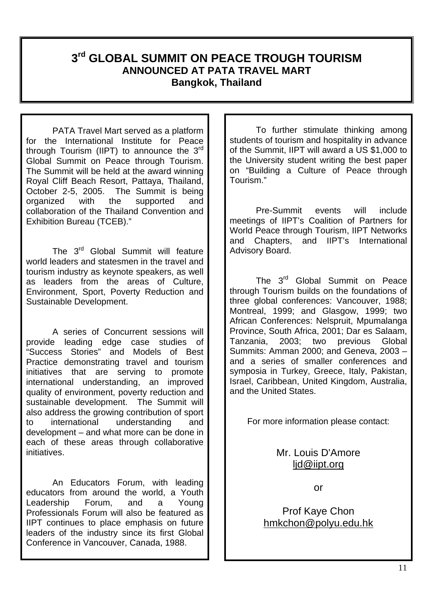## **3rd GLOBAL SUMMIT ON PEACE TROUGH TOURISM ANNOUNCED AT PATA TRAVEL MART Bangkok, Thailand**

PATA Travel Mart served as a platform for the International Institute for Peace through Tourism (IIPT) to announce the  $3<sup>rd</sup>$ Global Summit on Peace through Tourism. The Summit will be held at the award winning Royal Cliff Beach Resort, Pattaya, Thailand, October 2-5, 2005. The Summit is being organized with the supported and collaboration of the Thailand Convention and Exhibition Bureau (TCEB)."

The 3<sup>rd</sup> Global Summit will feature world leaders and statesmen in the travel and tourism industry as keynote speakers, as well as leaders from the areas of Culture, Environment, Sport, Poverty Reduction and Sustainable Development.

A series of Concurrent sessions will provide leading edge case studies of "Success Stories" and Models of Best Practice demonstrating travel and tourism initiatives that are serving to promote international understanding, an improved quality of environment, poverty reduction and sustainable development. The Summit will also address the growing contribution of sport to international understanding and development – and what more can be done in each of these areas through collaborative initiatives.

An Educators Forum, with leading educators from around the world, a Youth Leadership Forum, and a Young Professionals Forum will also be featured as IIPT continues to place emphasis on future leaders of the industry since its first Global Conference in Vancouver, Canada, 1988.

To further stimulate thinking among students of tourism and hospitality in advance of the Summit, IIPT will award a US \$1,000 to the University student writing the best paper on "Building a Culture of Peace through Tourism."

Pre-Summit events will include meetings of IIPT's Coalition of Partners for World Peace through Tourism, IIPT Networks and Chapters, and IIPT's International Advisory Board.

The 3<sup>rd</sup> Global Summit on Peace through Tourism builds on the foundations of three global conferences: Vancouver, 1988; Montreal, 1999; and Glasgow, 1999; two African Conferences: Nelspruit, Mpumalanga Province, South Africa, 2001; Dar es Salaam, Tanzania, 2003; two previous Global Summits: Amman 2000; and Geneva, 2003 – and a series of smaller conferences and symposia in Turkey, Greece, Italy, Pakistan, Israel, Caribbean, United Kingdom, Australia, and the United States.

For more information please contact:

Mr. Louis D'Amore ljd@iipt.org

or

Prof Kaye Chon hmkchon@polyu.edu.hk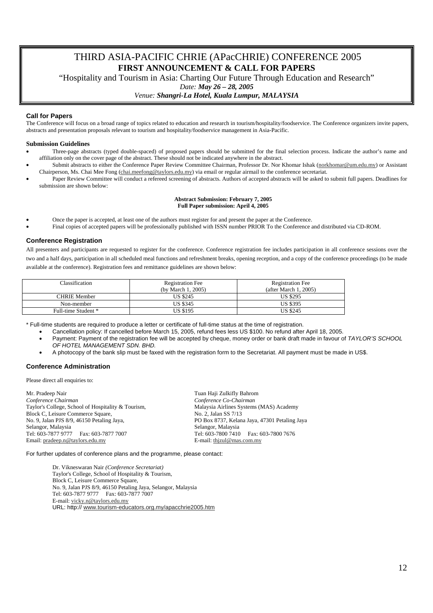THIRD ASIA-PACIFIC CHRIE (APacCHRIE) CONFERENCE 2005 **FIRST ANNOUNCEMENT & CALL FOR PAPERS** 

"Hospitality and Tourism in Asia: Charting Our Future Through Education and Research"

*Date: May 26 – 28, 2005* 

#### *Venue: Shangri-La Hotel, Kuala Lumpur, MALAYSIA*

#### **Call for Papers**

The Conference will focus on a broad range of topics related to education and research in tourism/hospitality/foodservice. The Conference organizers invite papers, abstracts and presentation proposals relevant to tourism and hospitality/foodservice management in Asia-Pacific.

#### **Submission Guidelines**

- Three-page abstracts (typed double-spaced) of proposed papers should be submitted for the final selection process. Indicate the author's name and affiliation only on the cover page of the abstract. These should not be indicated anywhere in the abstract.
- Submit abstracts to either the Conference Paper Review Committee Chairman, Professor Dr. Nor Khomar Ishak (norkhomar@um.edu.my) or Assistant Chairperson, Ms. Chai Mee Fong (chai.meefong@taylors.edu.my) via email or regular airmail to the conference secretariat.
- Paper Review Committee will conduct a refereed screening of abstracts. Authors of accepted abstracts will be asked to submit full papers. Deadlines for submission are shown below:

#### **Abstract Submission: February 7, 2005 Full Paper submission: April 4, 2005**

- Once the paper is accepted, at least one of the authors must register for and present the paper at the Conference.
- Final copies of accepted papers will be professionally published with ISSN number PRIOR To the Conference and distributed via CD-ROM.

#### **Conference Registration**

All presenters and participants are requested to register for the conference. Conference registration fee includes participation in all conference sessions over the two and a half days, participation in all scheduled meal functions and refreshment breaks, opening reception, and a copy of the conference proceedings (to be made available at the conference). Registration fees and remittance guidelines are shown below:

| Classification      | <b>Registration Fee</b><br>(by March 1, 2005) | <b>Registration Fee</b><br>(after March 1, 2005) |
|---------------------|-----------------------------------------------|--------------------------------------------------|
| CHRIE Member        | <b>US \$245</b>                               | <b>US \$295</b>                                  |
| Non-member          | US \$345                                      | US \$395                                         |
| Full-time Student * | US \$195                                      | US \$245                                         |

\* Full-time students are required to produce a letter or certificate of full-time status at the time of registration.

- Cancellation policy: If cancelled before March 15, 2005, refund fees less US \$100. No refund after April 18, 2005.
- Payment: Payment of the registration fee will be accepted by cheque, money order or bank draft made in favour of *TAYLOR'S SCHOOL OF HOTEL MANAGEMENT SDN. BHD.*
- A photocopy of the bank slip must be faxed with the registration form to the Secretariat. All payment must be made in US\$.

#### **Conference Administration**

Please direct all enquiries to:

Mr. Pradeep Nair *Conference Chairman*  Taylor's College, School of Hospitality & Tourism, Block C, Leisure Commerce Square, No. 9, Jalan PJS 8/9, 46150 Petaling Jaya, Selangor, Malaysia<br>Tel: 603-7877 9777 Fax: 603-7877 7007 Email: pradeep.n@taylors.edu.my

Tuan Haji Zulkifly Bahrom *Conference Co-Chairman*  Malaysia Airlines Systems (MAS) Academy No. 2, Jalan SS 7/13 PO Box 8737, Kelana Jaya, 47301 Petaling Jaya Selangor, Malaysia Tel: 603-7800 7410 Fax: 603-7800 7676 E-mail: thjzul@mas.com.my

For further updates of conference plans and the programme, please contact:

Dr. Vikneswaran Nair *(Conference Secretariat)* Taylor's College, School of Hospitality & Tourism, Block C, Leisure Commerce Square, No. 9, Jalan PJS 8/9, 46150 Petaling Jaya, Selangor, Malaysia Tel: 603-7877 9777 Fax: 603-7877 7007 E-mail: vicky.n@taylors.edu.my URL: http:// www.tourism-educators.org.my/apacchrie2005.htm